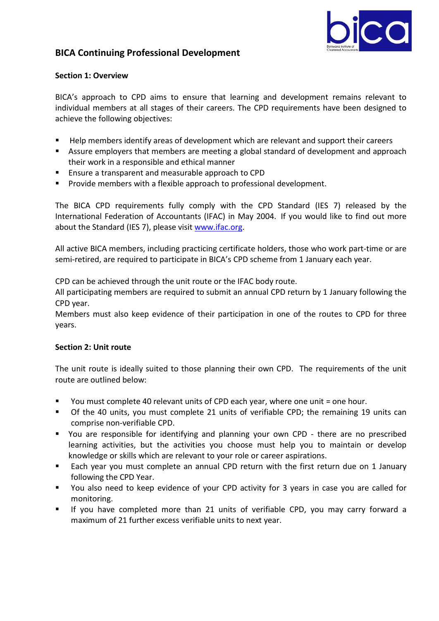

# **BICA Continuing Professional Development**

# **Section 1: Overview**

BICA's approach to CPD aims to ensure that learning and development remains relevant to individual members at all stages of their careers. The CPD requirements have been designed to achieve the following objectives:

- **Help members identify areas of development which are relevant and support their careers**
- Assure employers that members are meeting a global standard of development and approach their work in a responsible and ethical manner
- **Ensure a transparent and measurable approach to CPD**
- **Provide members with a flexible approach to professional development.**

The BICA CPD requirements fully comply with the CPD Standard (IES 7) released by the International Federation of Accountants (IFAC) in May 2004. If you would like to find out more about the Standard (IES 7), please visit www.ifac.org.

All active BICA members, including practicing certificate holders, those who work part-time or are semi-retired, are required to participate in BICA's CPD scheme from 1 January each year.

CPD can be achieved through the unit route or the IFAC body route.

All participating members are required to submit an annual CPD return by 1 January following the CPD year.

Members must also keep evidence of their participation in one of the routes to CPD for three years.

# **Section 2: Unit route**

The unit route is ideally suited to those planning their own CPD. The requirements of the unit route are outlined below:

- You must complete 40 relevant units of CPD each year, where one unit = one hour.
- Of the 40 units, you must complete 21 units of verifiable CPD; the remaining 19 units can comprise non-verifiable CPD.
- You are responsible for identifying and planning your own CPD there are no prescribed learning activities, but the activities you choose must help you to maintain or develop knowledge or skills which are relevant to your role or career aspirations.
- Each year you must complete an annual CPD return with the first return due on 1 January following the CPD Year.
- You also need to keep evidence of your CPD activity for 3 years in case you are called for monitoring.
- If you have completed more than 21 units of verifiable CPD, you may carry forward a maximum of 21 further excess verifiable units to next year.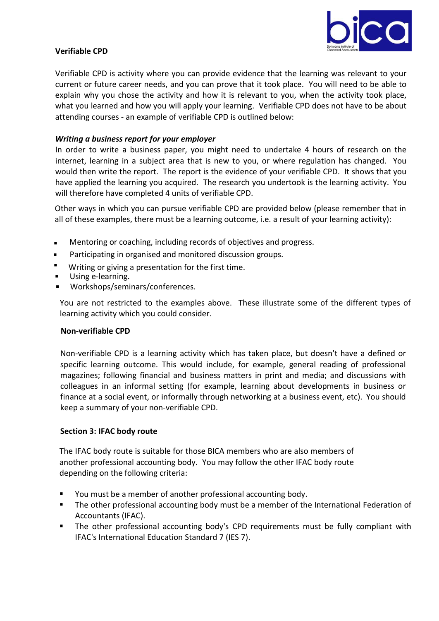

## **Verifiable CPD**

Verifiable CPD is activity where you can provide evidence that the learning was relevant to your current or future career needs, and you can prove that it took place. You will need to be able to explain why you chose the activity and how it is relevant to you, when the activity took place, what you learned and how you will apply your learning. Verifiable CPD does not have to be about attending courses - an example of verifiable CPD is outlined below:

#### *Writing a business report for your employer*

In order to write a business paper, you might need to undertake 4 hours of research on the internet, learning in a subject area that is new to you, or where regulation has changed. You would then write the report. The report is the evidence of your verifiable CPD. It shows that you have applied the learning you acquired. The research you undertook is the learning activity. You will therefore have completed 4 units of verifiable CPD.

Other ways in which you can pursue verifiable CPD are provided below (please remember that in all of these examples, there must be a learning outcome, i.e. a result of your learning activity):

- **Mentoring or coaching, including records of objectives and progress.**
- **Participating in organised and monitored discussion groups.**
- Writing or giving a presentation for the first time.
- Using e-learning.
- Workshops/seminars/conferences.

You are not restricted to the examples above. These illustrate some of the different types of learning activity which you could consider.

#### **Non-verifiable CPD**

Non-verifiable CPD is a learning activity which has taken place, but doesn't have a defined or specific learning outcome. This would include, for example, general reading of professional magazines; following financial and business matters in print and media; and discussions with colleagues in an informal setting (for example, learning about developments in business or finance at a social event, or informally through networking at a business event, etc). You should keep a summary of your non-verifiable CPD.

#### **Section 3: IFAC body route**

The IFAC body route is suitable for those BICA members who are also members of another professional accounting body. You may follow the other IFAC body route depending on the following criteria:

- You must be a member of another professional accounting body.
- The other professional accounting body must be a member of the International Federation of Accountants (IFAC).
- **The other professional accounting body's CPD requirements must be fully compliant with** IFAC's International Education Standard 7 (IES 7).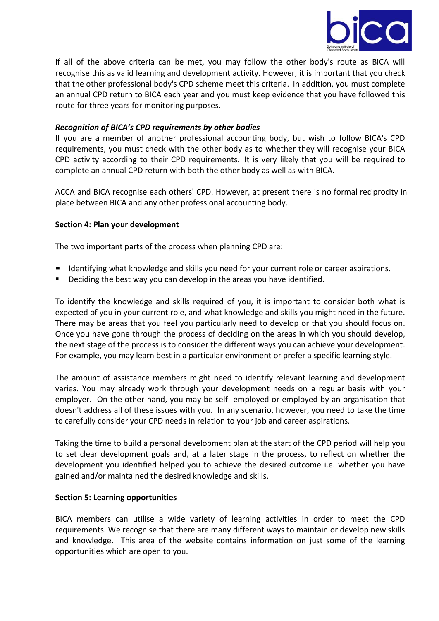

If all of the above criteria can be met, you may follow the other body's route as BICA will recognise this as valid learning and development activity. However, it is important that you check that the other professional body's CPD scheme meet this criteria. In addition, you must complete an annual CPD return to BICA each year and you must keep evidence that you have followed this route for three years for monitoring purposes.

## *Recognition of BICA's CPD requirements by other bodies*

If you are a member of another professional accounting body, but wish to follow BICA's CPD requirements, you must check with the other body as to whether they will recognise your BICA CPD activity according to their CPD requirements. It is very likely that you will be required to complete an annual CPD return with both the other body as well as with BICA.

ACCA and BICA recognise each others' CPD. However, at present there is no formal reciprocity in place between BICA and any other professional accounting body.

#### **Section 4: Plan your development**

The two important parts of the process when planning CPD are:

- **If Identifying what knowledge and skills you need for your current role or career aspirations.**
- Deciding the best way you can develop in the areas you have identified.

To identify the knowledge and skills required of you, it is important to consider both what is expected of you in your current role, and what knowledge and skills you might need in the future. There may be areas that you feel you particularly need to develop or that you should focus on. Once you have gone through the process of deciding on the areas in which you should develop, the next stage of the process is to consider the different ways you can achieve your development. For example, you may learn best in a particular environment or prefer a specific learning style.

The amount of assistance members might need to identify relevant learning and development varies. You may already work through your development needs on a regular basis with your employer. On the other hand, you may be self- employed or employed by an organisation that doesn't address all of these issues with you. In any scenario, however, you need to take the time to carefully consider your CPD needs in relation to your job and career aspirations.

Taking the time to build a personal development plan at the start of the CPD period will help you to set clear development goals and, at a later stage in the process, to reflect on whether the development you identified helped you to achieve the desired outcome i.e. whether you have gained and/or maintained the desired knowledge and skills.

#### **Section 5: Learning opportunities**

BICA members can utilise a wide variety of learning activities in order to meet the CPD requirements. We recognise that there are many different ways to maintain or develop new skills and knowledge. This area of the website contains information on just some of the learning opportunities which are open to you.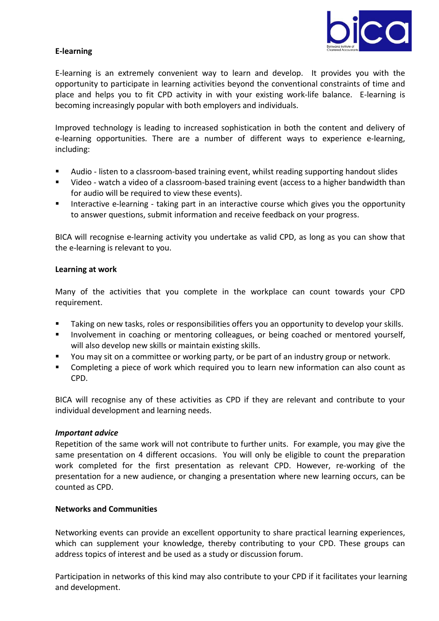

# **E-learning**

E-learning is an extremely convenient way to learn and develop. It provides you with the opportunity to participate in learning activities beyond the conventional constraints of time and place and helps you to fit CPD activity in with your existing work-life balance. E-learning is becoming increasingly popular with both employers and individuals.

Improved technology is leading to increased sophistication in both the content and delivery of e-learning opportunities. There are a number of different ways to experience e-learning, including:

- Audio listen to a classroom-based training event, whilst reading supporting handout slides
- Video watch a video of a classroom-based training event (access to a higher bandwidth than for audio will be required to view these events).
- **IFM** Interactive e-learning taking part in an interactive course which gives you the opportunity to answer questions, submit information and receive feedback on your progress.

BICA will recognise e-learning activity you undertake as valid CPD, as long as you can show that the e-learning is relevant to you.

#### **Learning at work**

Many of the activities that you complete in the workplace can count towards your CPD requirement.

- Taking on new tasks, roles or responsibilities offers you an opportunity to develop your skills.
- **Involvement in coaching or mentoring colleagues, or being coached or mentored yourself,** will also develop new skills or maintain existing skills.
- You may sit on a committee or working party, or be part of an industry group or network.
- Completing a piece of work which required you to learn new information can also count as CPD.

BICA will recognise any of these activities as CPD if they are relevant and contribute to your individual development and learning needs.

#### *Important advice*

Repetition of the same work will not contribute to further units. For example, you may give the same presentation on 4 different occasions. You will only be eligible to count the preparation work completed for the first presentation as relevant CPD. However, re-working of the presentation for a new audience, or changing a presentation where new learning occurs, can be counted as CPD.

#### **Networks and Communities**

Networking events can provide an excellent opportunity to share practical learning experiences, which can supplement your knowledge, thereby contributing to your CPD. These groups can address topics of interest and be used as a study or discussion forum.

Participation in networks of this kind may also contribute to your CPD if it facilitates your learning and development.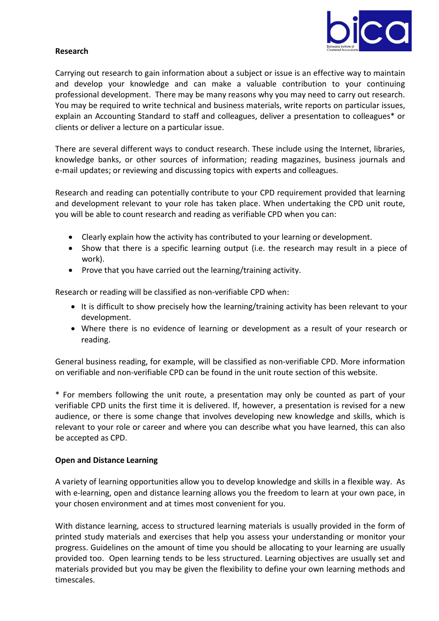

# **Research**

Carrying out research to gain information about a subject or issue is an effective way to maintain and develop your knowledge and can make a valuable contribution to your continuing professional development. There may be many reasons why you may need to carry out research. You may be required to write technical and business materials, write reports on particular issues, explain an Accounting Standard to staff and colleagues, deliver a presentation to colleagues\* or clients or deliver a lecture on a particular issue.

There are several different ways to conduct research. These include using the Internet, libraries, knowledge banks, or other sources of information; reading magazines, business journals and e-mail updates; or reviewing and discussing topics with experts and colleagues.

Research and reading can potentially contribute to your CPD requirement provided that learning and development relevant to your role has taken place. When undertaking the CPD unit route, you will be able to count research and reading as verifiable CPD when you can:

- Clearly explain how the activity has contributed to your learning or development.
- Show that there is a specific learning output (i.e. the research may result in a piece of work).
- Prove that you have carried out the learning/training activity.

Research or reading will be classified as non-verifiable CPD when:

- It is difficult to show precisely how the learning/training activity has been relevant to your development.
- Where there is no evidence of learning or development as a result of your research or reading.

General business reading, for example, will be classified as non-verifiable CPD. More information on verifiable and non-verifiable CPD can be found in the unit route section of this website.

\* For members following the unit route, a presentation may only be counted as part of your verifiable CPD units the first time it is delivered. If, however, a presentation is revised for a new audience, or there is some change that involves developing new knowledge and skills, which is relevant to your role or career and where you can describe what you have learned, this can also be accepted as CPD.

#### **Open and Distance Learning**

A variety of learning opportunities allow you to develop knowledge and skills in a flexible way. As with e-learning, open and distance learning allows you the freedom to learn at your own pace, in your chosen environment and at times most convenient for you.

With distance learning, access to structured learning materials is usually provided in the form of printed study materials and exercises that help you assess your understanding or monitor your progress. Guidelines on the amount of time you should be allocating to your learning are usually provided too. Open learning tends to be less structured. Learning objectives are usually set and materials provided but you may be given the flexibility to define your own learning methods and timescales.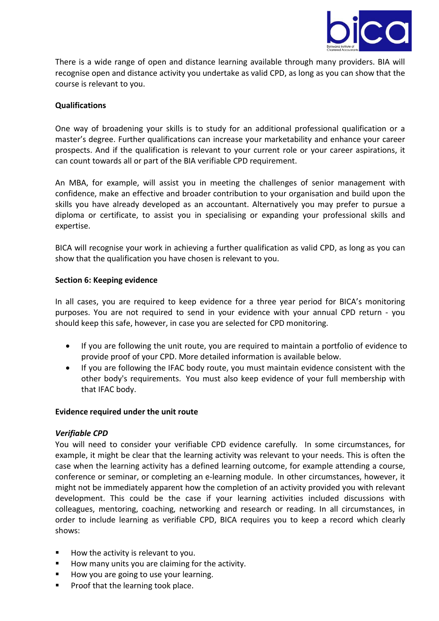

There is a wide range of open and distance learning available through many providers. BIA will recognise open and distance activity you undertake as valid CPD, as long as you can show that the course is relevant to you.

# **Qualifications**

One way of broadening your skills is to study for an additional professional qualification or a master's degree. Further qualifications can increase your marketability and enhance your career prospects. And if the qualification is relevant to your current role or your career aspirations, it can count towards all or part of the BIA verifiable CPD requirement.

An MBA, for example, will assist you in meeting the challenges of senior management with confidence, make an effective and broader contribution to your organisation and build upon the skills you have already developed as an accountant. Alternatively you may prefer to pursue a diploma or certificate, to assist you in specialising or expanding your professional skills and expertise.

BICA will recognise your work in achieving a further qualification as valid CPD, as long as you can show that the qualification you have chosen is relevant to you.

#### **Section 6: Keeping evidence**

In all cases, you are required to keep evidence for a three year period for BICA's monitoring purposes. You are not required to send in your evidence with your annual CPD return - you should keep this safe, however, in case you are selected for CPD monitoring.

- If you are following the unit route, you are required to maintain a portfolio of evidence to provide proof of your CPD. More detailed information is available below.
- If you are following the IFAC body route, you must maintain evidence consistent with the other body's requirements. You must also keep evidence of your full membership with that IFAC body.

#### **Evidence required under the unit route**

#### *Verifiable CPD*

You will need to consider your verifiable CPD evidence carefully. In some circumstances, for example, it might be clear that the learning activity was relevant to your needs. This is often the case when the learning activity has a defined learning outcome, for example attending a course, conference or seminar, or completing an e-learning module. In other circumstances, however, it might not be immediately apparent how the completion of an activity provided you with relevant development. This could be the case if your learning activities included discussions with colleagues, mentoring, coaching, networking and research or reading. In all circumstances, in order to include learning as verifiable CPD, BICA requires you to keep a record which clearly shows:

- How the activity is relevant to you.
- How many units you are claiming for the activity.
- How you are going to use your learning.
- **Proof that the learning took place.**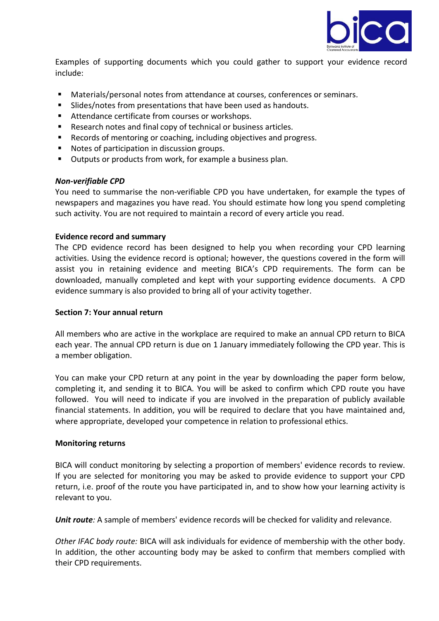

Examples of supporting documents which you could gather to support your evidence record include:

- Materials/personal notes from attendance at courses, conferences or seminars.
- Slides/notes from presentations that have been used as handouts.
- Attendance certificate from courses or workshops.
- Research notes and final copy of technical or business articles.
- Records of mentoring or coaching, including objectives and progress.
- Notes of participation in discussion groups.
- Outputs or products from work, for example a business plan.

#### *Non-verifiable CPD*

You need to summarise the non-verifiable CPD you have undertaken, for example the types of newspapers and magazines you have read. You should estimate how long you spend completing such activity. You are not required to maintain a record of every article you read.

#### **Evidence record and summary**

The CPD evidence record has been designed to help you when recording your CPD learning activities. Using the evidence record is optional; however, the questions covered in the form will assist you in retaining evidence and meeting BICA's CPD requirements. The form can be downloaded, manually completed and kept with your supporting evidence documents. A CPD evidence summary is also provided to bring all of your activity together.

#### **Section 7: Your annual return**

All members who are active in the workplace are required to make an annual CPD return to BICA each year. The annual CPD return is due on 1 January immediately following the CPD year. This is a member obligation.

You can make your CPD return at any point in the year by downloading the paper form below, completing it, and sending it to BICA. You will be asked to confirm which CPD route you have followed. You will need to indicate if you are involved in the preparation of publicly available financial statements. In addition, you will be required to declare that you have maintained and, where appropriate, developed your competence in relation to professional ethics.

#### **Monitoring returns**

BICA will conduct monitoring by selecting a proportion of members' evidence records to review. If you are selected for monitoring you may be asked to provide evidence to support your CPD return, i.e. proof of the route you have participated in, and to show how your learning activity is relevant to you.

*Unit route:* A sample of members' evidence records will be checked for validity and relevance.

*Other IFAC body route:* BICA will ask individuals for evidence of membership with the other body. In addition, the other accounting body may be asked to confirm that members complied with their CPD requirements.